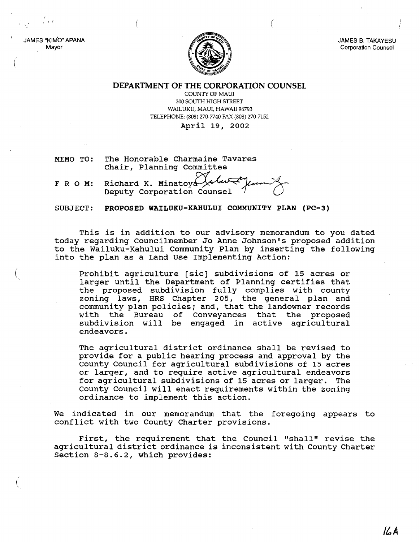JAMES B. TAKAYESU Corporation Counsel

DEPARTMENT OF THE CORPORATION COUNSEL

COUNTY OF MAUl 200 SOUTH HIGH STREET WAILUKU, MAUl, HAWAII 96793 TELEPHONE: (808) 270-7740 FAX (808) 270-7152

April 19, 2002

MEMO TO: The Honorable Charmaine Tavares Chair, Planning Committee

(

, I 1 '.'

(

JAMES "KIM'O" APANA Mayor

 $F R O M:$  Richard K. Minatoya Deputy Corporation Counsel

SUBJECT: PROPOSED WAILUKU-KAHULUI COMMUNITY PLAN (PC-3)

This is in addition to our advisory memorandum to you dated today regarding Councilmember Jo Anne Johnson's proposed addition to the Wailuku-Kahului community Plan by inserting the following into the plan as a Land Use Implementing Action:

Prohibit agriculture [sic] subdivisions of 15 acres or larger until the Department of Planning certifies that the proposed subdivision fully complies with county zoning laws, HRS Chapter 205, the general plan and community plan policies; and, that the landowner records with the Bureau of Conveyances that the proposed subdivision will be engaged in active agricultural endeavors.

The agricultural district ordinance shall be revised to provide for a public hearing process and approval by the County Council for agricultural subdivisions of 15 acres or larger, and to require active agricultural endeavors for agricultural subdivisions of 15 acres or larger. The County Council will enact requirements within the zoning ordinance to implement this action.

We indicated in our memorandum that the foregoing appears to conflict with two County Charter provisions.

First, the requirement that the Council "shall" revise the agricultural district ordinance is inconsistent with County Charter section 8-8.6.2, which provides: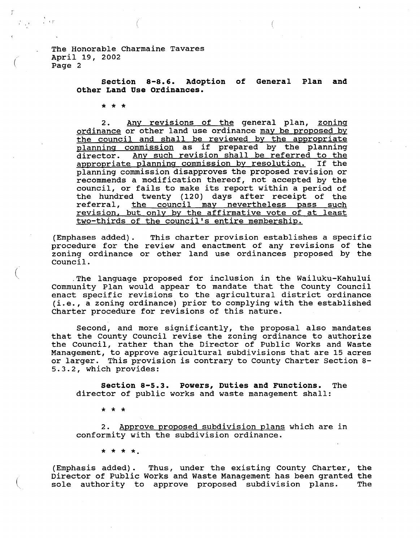The Honorable Charmaine Tavares April 19, 2002 Page 2

> **section 8-8.6. Adoption of General Plan and other Land Use Ordinances.**

\* \* \*

(

<sup>I</sup> r"

(

2. Any revisions of the general plan, zoning ordinance or other land use ordinance may be proposed by the council and shall be reviewed by the appropriate planning commission as if prepared by the planning<br>director. Any such revision shall be referred to the Any such revision shall be referred to the<br>planning commission by resolution. If the appropriate planning commission by resolution. planning commission disapproves the proposed revision or recommends a modification thereof, not accepted by the council, or fails to make its report within <sup>a</sup> period of the hundred twenty (120) days after receipt of the end nanarod ewoney (120) days drear recerps of the revision, but only by the affirmative vote of at least two-thirds of the council's entire membership.

(Emphases added). This charter provision establishes a specific procedure for the review and enactment of any revisions of the zoning ordinance or other land use ordinances proposed by the council.

.The language proposed for inclusion in the Wailuku-Kahului Community Plan would appear to mandate that the County Council enact specific revisions to the agricultural district ordinance (i.e., <sup>a</sup> zoning ordinance) prior to complying with the established Charter procedure for revisions of this nature.

Second, and more significantly, the proposal also mandates that the County Council revise the zoning ordinance to authorize the Council, rather than the Director of Public Works and Waste Management, to approve agricultural subdivisions that are 15 acres or larger. This provision is contrary to County Charter section 8- 5.3.2, which provides:

**section 8-5.3. Powers, Duties and Functions.** The director of public works and waste management shall:

\* \* \*

2. Approve proposed subdivision plans which are in conformity with the subdivision ordinance.

\* \* \* \*

(Emphasis added). Thus, under the existing County Charter, the Director of Public Works and Waste Management has been granted the sole authority to approve proposed subdivision plans. The sole authority to approve proposed subdivision plans.